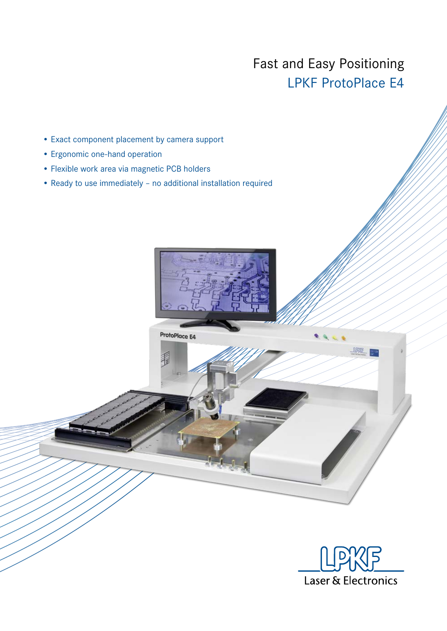## Fast and Easy Positioning LPKF ProtoPlace E4

- Exact component placement by camera support
- Ergonomic one-hand operation
- Flexible work area via magnetic PCB holders
- Ready to use immediately no additional installation required



ProtoPlace E4



LANG